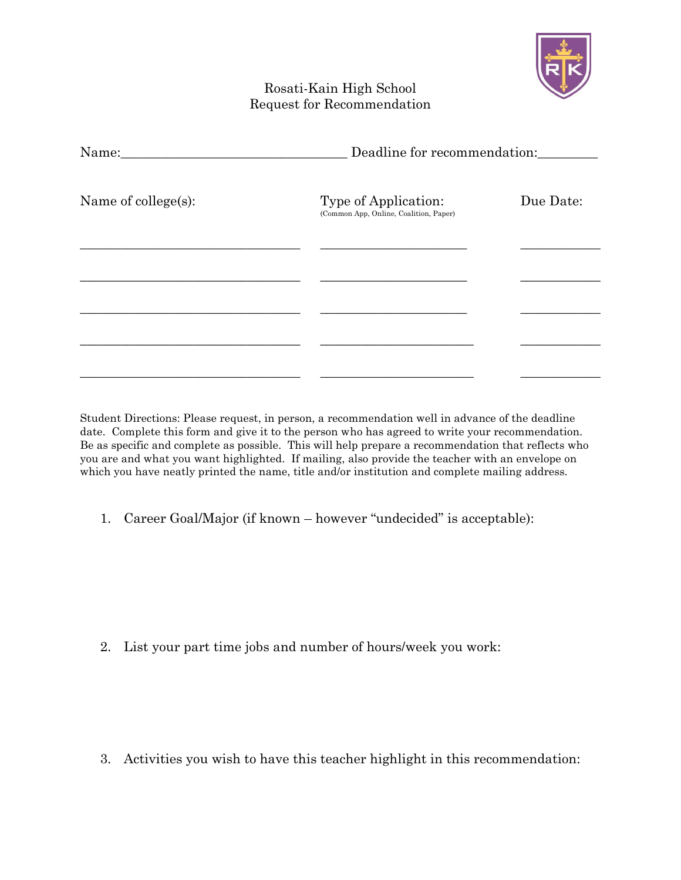

## Rosati-Kain High School Request for Recommendation

| Name:               |                                                                | Deadline for recommendation: |  |
|---------------------|----------------------------------------------------------------|------------------------------|--|
| Name of college(s): | Type of Application:<br>(Common App, Online, Coalition, Paper) | Due Date:                    |  |
|                     |                                                                |                              |  |
|                     |                                                                |                              |  |
|                     |                                                                |                              |  |
|                     |                                                                |                              |  |

Student Directions: Please request, in person, a recommendation well in advance of the deadline date. Complete this form and give it to the person who has agreed to write your recommendation. Be as specific and complete as possible. This will help prepare a recommendation that reflects who you are and what you want highlighted. If mailing, also provide the teacher with an envelope on which you have neatly printed the name, title and/or institution and complete mailing address.

1. Career Goal/Major (if known – however "undecided" is acceptable):

2. List your part time jobs and number of hours/week you work:

3. Activities you wish to have this teacher highlight in this recommendation: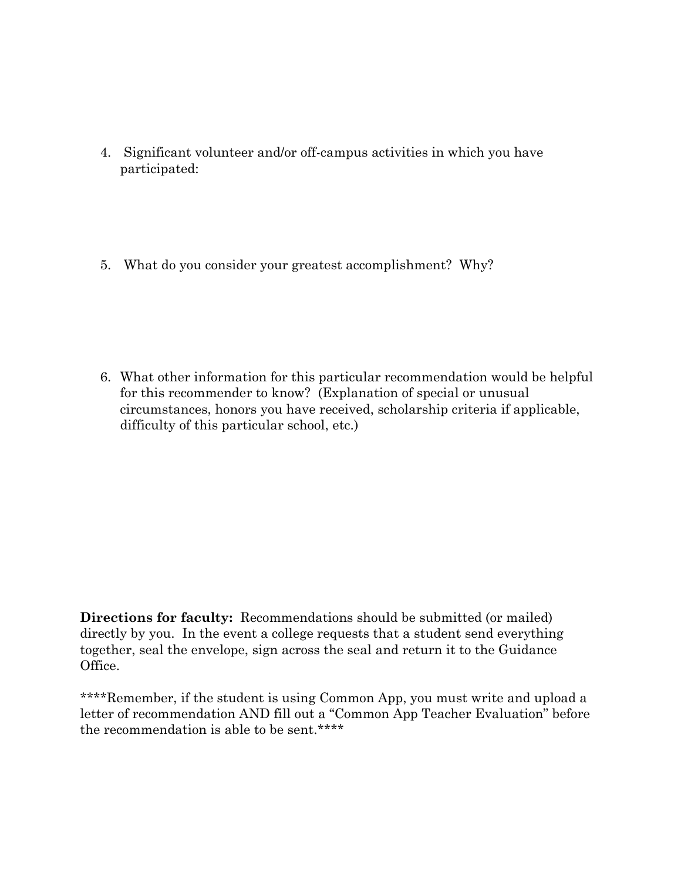- 4. Significant volunteer and/or off-campus activities in which you have participated:
- 5. What do you consider your greatest accomplishment? Why?

6. What other information for this particular recommendation would be helpful for this recommender to know? (Explanation of special or unusual circumstances, honors you have received, scholarship criteria if applicable, difficulty of this particular school, etc.)

**Directions for faculty:** Recommendations should be submitted (or mailed) directly by you. In the event a college requests that a student send everything together, seal the envelope, sign across the seal and return it to the Guidance Office.

\*\*\*\*Remember, if the student is using Common App, you must write and upload a letter of recommendation AND fill out a "Common App Teacher Evaluation" before the recommendation is able to be sent.\*\*\*\*